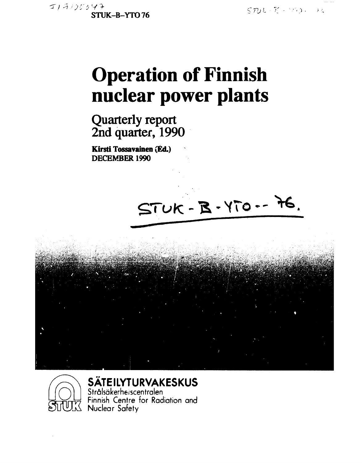$5712 - 76 - 1993 - 46$ 

# **Operation of Finnish nuclear power plants**

**Quarterly report 2nd quarter, 1990** 

**Kirsti Tossavainen (Ed.) DECEMBER 1990** 





**SÄTEILYTURVAKESKUS** 

Strälsäkerherscentralen Finnish Centre for Radiation and **Nuclear Safety**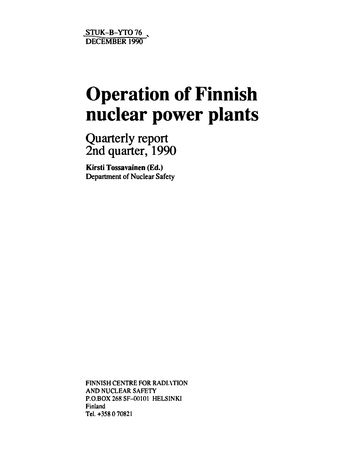**STUK-B-YT076 "DECEMBER 1990** 

# **Operation of Finnish nuclear power plants**

Quarterly report 2nd quarter, 1990

**Kirsti Tossavainen (Ed.) Department of Nuclear Safety** 

FINNISH CENTRE FOR RADIATION AND NUCLEAR SAFETY P.O.BOX 268 SF-00101 HELSINKI Finland Tel.+358 070821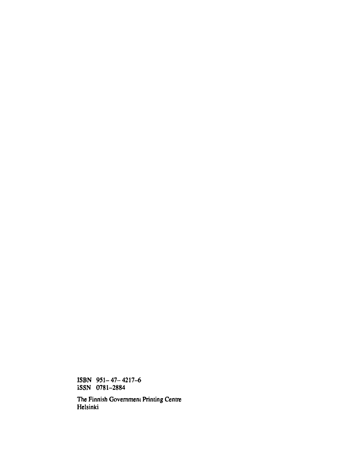**ISBN 951-47-4217-6 iSSN 0781-2884** 

**The Finnish Government Printing Centre Helsinki**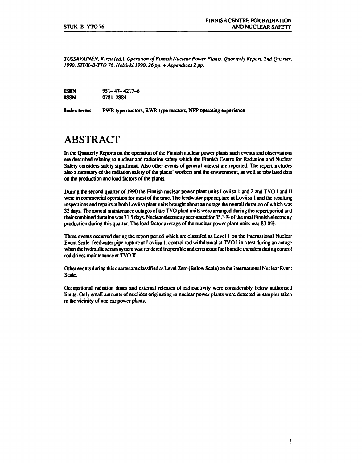*TOSSAVAINEN, Kirsti (ed.). Operation of Finnish Nuclear Power Plants. Quarterly Report, 2nd Quarter, 1990. STUK-B-YTO 76, Helsinki 1990.26 pp.* **+** *Appendices 2 pp.* 

| <b>ISBN</b> | $951 - 47 - 4217 - 6$ |
|-------------|-----------------------|
| ISSN        | 0781-2884             |

**Index terms PWR type reactors, BWR type reactors, NPP operating experience** 

# **ABSTRACT**

**In the Quarterly Reports on the operation of the Finnish nuclear power plants such events and observations are described relating to nuclear and radiation safety which the Finnish Centre for Radiation and Nuclear Safety considers safety significant. Also other events of general interest are reported. The report includes also a summary of the radiation safety of the plants' workers and the environment, as well as tabulated data on the production and load factors of the plants.** 

**During the second quarter of 1990 the Finnish nuclear power plant units Loviisa 1 and 2 and TVOI and II**  were in commercial operation for most of the time. The feedwater pipe rur ture at Loviisa 1 and the resulting **inspections and repairs at both Loviisa plant units brought about an outage the overall duration of which was 32 days. The annual maintenance outages of time TVO plant units were arranged during the report period and their combined duration was 31.5 days. Nuclear electricity accounted for 35.3 % of the total Finnish electricity production during this quarter. The load factor average of the nuclear power plant units was 83.0%.** 

**Three events occurred during the report period which are classifed as Level 1 on the International Nuclear Event Scale: feedwater pipe rupture at Loviisa 1, control rod withdrawal at TVO I in a test during an outage when the hydraulic scram system was rendered inoperable and erroneous fuel bundle transfers during control rod drives maintenance at TVO II.** 

**Other events during this quarter are classified as Level Zero (Below Scale) on the international Nuclear Event Scale.** 

**Occupational radiation doses and external releases of radioactivity were considerably below authorised limits. Only small amounts of nuclides originating in nuclear power plants were detected in samples taken in the vicinity of nuclear power plants.**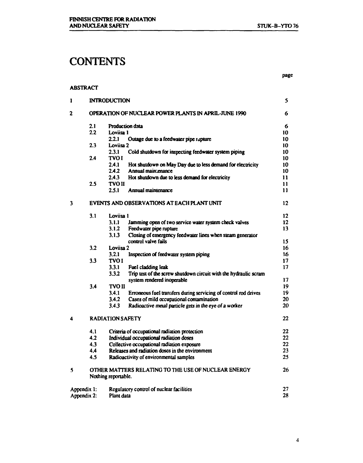# **CONTENTS**

**ABSTRACT** 

**page** 

| 1           |     | <b>INTRODUCTION</b>     |                                                                                   | 5             |
|-------------|-----|-------------------------|-----------------------------------------------------------------------------------|---------------|
| 2           |     |                         | OPERATION OF NUCLEAR POWER PLANTS IN APRIL-JUNE 1990                              | 6             |
|             | 2.1 | Production data         |                                                                                   | 6             |
|             | 2.2 | Loviisa 1               |                                                                                   | 10            |
|             |     | 2.2.1                   | Outage due to a feedwater pipe rupture                                            | 10            |
|             | 2.3 | Loviisa 2               |                                                                                   | 10            |
|             |     | 2.3.1                   | Cold shutdown for inspecting feedwater system piping                              | 10            |
|             | 2.4 | <b>TVOI</b><br>2.4.1    |                                                                                   | 10            |
|             |     | 2.4.2                   | Hot shutdown on May Day due to less demand for electricity<br>Annual main: enance | 10<br>10      |
|             |     | 2.4.3                   | Hot shutdown due to less demand for electricity                                   | 11            |
|             | 2.5 | <b>TVO II</b>           |                                                                                   | $\mathbf{11}$ |
|             |     | 2.5.1                   | Annual maintenance                                                                | $\mathbf{11}$ |
|             |     |                         |                                                                                   |               |
| 3           |     |                         | EVENTS AND OBSERVATIONS AT EACH PLANT UNIT                                        | 12            |
|             | 3.1 | Loviisa 1               |                                                                                   | 12            |
|             |     | 3.1.1                   | Jamming open of two service water system check valves                             | 12            |
|             |     | 3.1.2                   | Feedwater pipe rupture                                                            | 13            |
|             |     | 3.1.3                   | Closing of emergency feedwater lines when steam generator                         |               |
|             |     |                         | control valve fails                                                               | 15            |
|             | 3.2 | Loviisa 2               |                                                                                   | 16            |
|             |     | 3.2.1                   | Inspection of feedwater system piping                                             | 16            |
|             | 3.3 | <b>TVOI</b>             |                                                                                   | 17            |
|             |     | 3.3.1                   | Fuel cladding leak                                                                | 17            |
|             |     | 3.3.2                   | Trip test of the screw shutdown circuit with the hydraulic scram                  |               |
|             |     |                         | system rendered inoperable                                                        | 17            |
|             | 3.4 | <b>TVO II</b>           |                                                                                   | 19            |
|             |     | 3.4.1                   | Erroneous fuel transfers during servicing of control rod drives                   | 19            |
|             |     | 3.4.2                   | Cases of mild occupational contamination                                          | 20            |
|             |     | 3.4.3                   | Radioactive metal particle gets in the eye of a worker                            | 20            |
| 4           |     | <b>RADIATION SAFETY</b> |                                                                                   | 22            |
|             | 4.1 |                         | Criteria of occupational radiation protection                                     | 22            |
|             | 4.2 |                         | Individual occupational radiation doses                                           | 22            |
|             | 4.3 |                         | Collective occupational radiation exposure                                        | 22            |
|             | 4,4 |                         | Releases and radiation doses in the environment                                   | 23            |
|             | 4.5 |                         | Radioactivity of environmental samples                                            | 25            |
| 5           |     |                         | OTHER MATTERS RELATING TO THE USE OF NUCLEAR ENERGY                               | 26            |
|             |     | Nothing reportable.     |                                                                                   |               |
| Appendix 1: |     |                         | Regulatory control of nuclear facilities                                          | 27            |
| Appendix 2: |     | Plant data              |                                                                                   | 28            |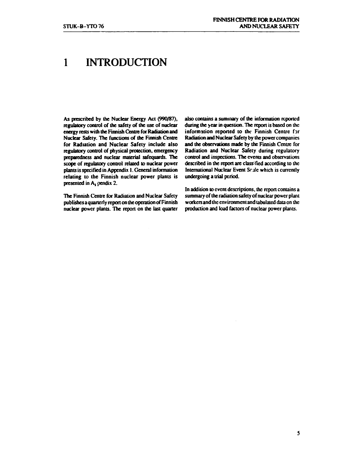# **1 INTRODUCTION**

**As prescribed by the Nuclear Energy Act (990/87), regulatory control of the safety of the use of nuclear energy rests with the Finnish Centre for Radiation and Nuclear Safety. The functions of the Finnish Centre for Radiation and Nuclear Safety include also regulatory control of physical protection, emergency preparedness and nuclear material safeguards. The scope of regulatory control related to nuclear power plants is specified in Appendix 1. General information relating to the Finnish nuclear power plants is presented in A, pendix 2.** 

**The Finnish Centre for Radiation and Nuclear Safety publishes a quarterly report on the operation of Finnish nuclear power plants. The report on the last quarter**  **also contains a summary of the information reported during the year in question. The report is based on the information reported to the Finnish Centre for Radiation and Nuclear Safety by the power companies and the observations made by the Finnish Centre for Radiation and Nuclear Safety during regulatory control and inspections. The events and observations described in the report are classified according to the**  International Nuclear Event Scale which is currently **undergoing a trial period.** 

**In addition to event descriptions, the report contains a summary of the radiation safety of nuclear power plant workers and the environment and tabulated data on the production and load factors of nuclear power plants.**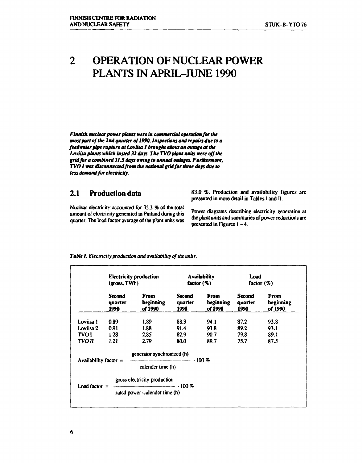### **OPERATION OF NUCLEAR POWER**   $\overline{2}$ **PLANTS IN APRIL-JUNE 1990**

*Finnish nuclear power plants were in commercial operation for the most part of the 2nd quarter of 1990. Inspections and repairs due to a feedwater pipe rupture at Loviisa I brought about an outage at the Loviisa plants which lasted 32 days. The TVO plant units were off the grid for a combined 31J days owing to annual outages. Furthermore, TVO I was disconnected from the national grid for three days due to less demand for electricity.* 

# **2.1 Production data**

Nuclear electricity accounted for 35.3 % of the total amount of electricity generated in Finland during this quarter. The load factor average of the plant units was

83.0 *%.* Production and availability figures are presented in more detail in Tables I and II.

Power diagrams describing electricity generation at the plant units and summaries of power reductions arc presented in Figures  $I - 4$ .

|                         | <b>Electricity production</b><br>(gross, TWI) |                                                                      | <b>Availability</b><br>factor $(\%)$ |                              | Load<br>factor $(\%)$            |                              |
|-------------------------|-----------------------------------------------|----------------------------------------------------------------------|--------------------------------------|------------------------------|----------------------------------|------------------------------|
|                         | <b>Second</b><br>quarter<br>1990              | From<br>beginning<br>of 1990                                         | <b>Second</b><br>quarter<br>1990     | From<br>beginning<br>of 1990 | <b>Second</b><br>quarter<br>1990 | From<br>beginning<br>of 1990 |
| Loviisa 1               | 0.89                                          | 1.89                                                                 | 88.3                                 | 94.1                         | 87.2                             | 93.8                         |
| Loviisa 2               | 0.91                                          | 1.88                                                                 | 91.4                                 | 93.8                         | 89.2                             | 93.1                         |
| TVO I                   | 1.28                                          | 2.85                                                                 | 82.9                                 | 90.7                         | 79.8                             | 89.1                         |
| TVO II                  | 1.21                                          | 2.79                                                                 | 80.0                                 | 89.7                         | 75.7                             | 87.5                         |
|                         |                                               | generator synchronized (h)                                           |                                      |                              |                                  |                              |
| Availability factor $=$ |                                               | calender time (h)                                                    |                                      |                              |                                  |                              |
|                         |                                               | gross electricity production                                         |                                      |                              |                                  |                              |
|                         |                                               | Load factor = $\frac{100\%}{200\%}$<br>rated power calender time (h) |                                      |                              |                                  |                              |

#### *Table I. Electricity production and availability of the units.*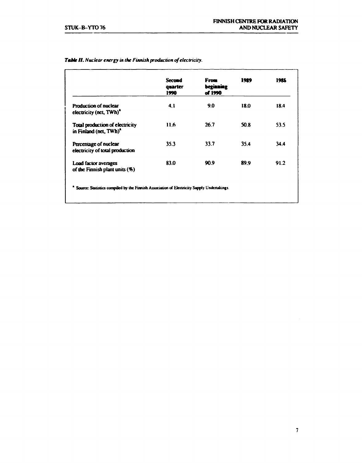|                                                                       | <b>Second</b><br>quarter<br>1990 | From<br>beginning<br>of 1990 | 1989 | 1985 |
|-----------------------------------------------------------------------|----------------------------------|------------------------------|------|------|
| Production of nuclear<br>electricity (net, TWh) <sup>2</sup>          | 4.1                              | 9.0                          | 18.0 | 18.4 |
| Total production of electricity<br>in Finland (net, TWh) <sup>a</sup> | 11.6                             | 26.7                         | 50.8 | 53.5 |
| Percentage of nuclear<br>electricity of total production              | 35.3                             | 33.7                         | 35.4 | 34.4 |
| Load factor averages<br>of the Finnish plant units (%)                | 83.0                             | 90.9                         | 89.9 | 91.2 |

#### *Table II. Nuclear energy in the Finnish production of electricity.*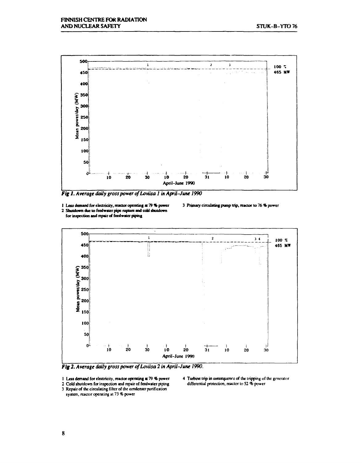

*Fig I. Average daily gross power of Loviisa 1 in April-June 1990* 

**1 Less demand for electricity, reactor operating at 79 \* power** 

**2 Shutdown due lofeedwater pipe rupture and cold shuldown for inspection and repair of feedwater piping** 

**3 Primary circulating pump trip, reactor to 76% power** 



*Fig 2. Average daily gross power of Loviisa 2 in April-June 1990.* 

**1 Lets demand for electricity, reactor operating at** 79 % power

- 2 Cold shutdown for inspection and repair of feedwater piping
- 3 Repair of the circulating filter of the condenser purification

system, reactor operating at 73 *%* power

4 Turbine trip in consequence of the tripping of the generator differential protection, reactor to 52 % power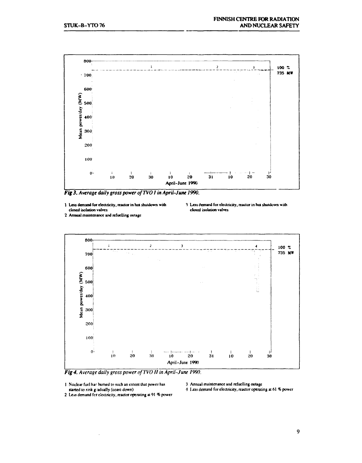

*Fig 3. Average daily gross power ofTVO I in April-June 1990.* 

**1 Less demand for electricity, reactor in hot shutdown with closed isolation valves** 

- **1 Annual maintenance and refuelling outage**
- **1 Less demand for electricity, reactor in hot shutdown with closed isolation valves**



*Fig 4. Average daily gross power ofTVO 11 in April-June 1990.* 

**1 Nuclear fuel har burned to such an extent that power has started to sink gradually (coast-down)** 

**3 Annual maintenance and refuelling outage** 

**4 \x\$a demand for electricity, reactor operating at 61 % power** 

**2 Less demand fcr electricity, reactor operating at 91 % power** 

**9**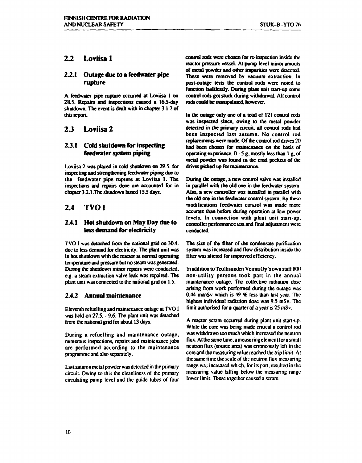### **2.2 Loviisa 1**

#### **2.2.1 Outage due to a feedwater pipe rupture**

A feedwater pipe rupture occurred at Loviisa 1 on 28.5. Repairs and inspections caused a 16.5-day shutdown. The event is dealt with in chapter 3.1.2 of this report

# **2 J Loviisa 2**

#### **2.3.1 Cold shutdown for inspecting feedwater system piping**

Loviisa 2 was placed in cold shutdown on 29.5. for inspecting and strengthening feedwaier piping due to the feedwater pipe rapture at Loviisa 1. The inspections and repairs dune are accounted for in chapter 3.2.1.The shutdown lasted 15.5 days.

# **2.4 TVO I**

#### **2.4.1 Hot shutdown on May Day due to less demand for electricity**

TVO I was detached from the national grid on 30.4. due to less demand for electricity. The plant unit was in hot shutdown with the reactor at normal operating temperature and pressure but no steam was generated. During the shutdown minor repairs were conducted, e.g. a steam extraction valve leak was repaired. The plant unit was connected to the national grid on 1.5.

#### **2.4.2 Annual maintenance**

Eleventh refuelling and maintenance outage at TVO I was held on 27.5. - 9.6. The plant unit was detached from the national grid for about 13 days.

During a refuelling and maintenance outage, numerous inspections, repairs and maintenance jobs are performed according to the maintenance programme and also separately.

Last autumn metal powder was detected in the primary circuit. Owing to this the cleanliness of the primary circulating pump level and the guide tubes of four control rods were chosen for re-inspection inside the reactor pressure vessel. At pump level minor amouts of metal powder and other impurities were detected. These were removed by vacuum extraction. In post-outage tests the control rods were noted to function faultlessly. During plant unit start-up some control rods got stuck during withdrawal. All control rods could be manipulated, however.

In die outage only one of a total of 121 control rods was inspected since, owing to die metal powder detected in the primary circuit, all control rods had been inspected last autumn. No control rod replacements were made. Of the control rod drives 20 had been chosen for maintenance on the basis of operating experience.  $0 - 5$  g, mostly less than 1 g, of metal powder was found in die crud pockets of die drives picked up for maintenance.

During die outage, a new control valve was installed in parallel with the old one in die feedwater system. Also, a new controller was installed in parallel with the old one in the feedwater control system. By these modifications feedwater control was made more accurate than before during operation at low power levels. In connection with plant unit start-up, controller performance test and final adjustment were conducted.

The size of the filter of die condensate purification system was increased and flow distribution inside die filler was altered for improved efficiency.

In addition to Teollisuuden Voima Oy's own staff 800 non-utility persons took part in the annual maintenance outage. The collective radiation dose arising from work performed during die outage was 0.44 manSv which is 49 *%* less than last year. The highest individual radiation dose was 9.5 mSv. The limit authorised for a quarter of a year is 25 mSv.

A reactor scram occurred during plant unit start-up. While the core was being made critical a control rod was withdrawn too much which increased the neutron flux. At the same time, a measuring element for a small neutron flux (source area) was erroneously left in die core and the measuring value reached the trip limit. At the same time the scale of the neutron flux measuring range was increased which, for its part, resulted in the measuring value falling below the measuring range lower limit. These together caused a scram.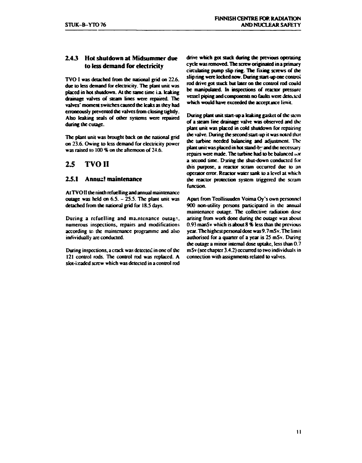#### **2.4 J Hot shutdown at Midsummer due to less demand for electricity**

**TVO I was detached from the national grid on 22.6. due to less demand for electricity. The plant unit was placed in hot shutdown. At the same time La. leaking drainage valves of steam lines were repaired. The valves' moment switches caused the leaks as they had erroneously prevented the valves from closing tightly. Abo leaking seals of other systems were repaired during the cuiage.** 

**The plant unit was brought back on ihe national grid on 23.6. Owing to less demand for electricity power was raised to 100 % on die afternoon of 24.6.** 

# **2.5 TVO II**

#### **2.5.1 Annus! maintenance**

**At TVO II the ninth refuelling and annual maintenance outage was held on 6.S. - 2S.S. The plant unit was detached from the national grid for 18.5 days.** 

**During a refuelling and ma.ntcnance outage, numerous inspections, repairs and modifications according to the maintenance programme and also individually are conducted.** 

**During inspections, a crack was detected in one of the 121 control rods. The control rod was replaced. A stot-i:cadcd screw which was detected in a control rod** 

**drive which got stuck during the previous operating cycle was removed. The screw originated in a primary circulating pump slip ring. The fixing screws of die slip ring were locked now. During start-up one control rod drive got stuck but later on the control rod could be manipulated. In inspections of reactor pressure vessel piping and components no faults were detected which would have exceeded the accept jnee limit.** 

**During plant unit start-up a leaking gasket of die stem of a steam line drainage valve was observed and die plant unit was placed in cold shutdown for repairing die valve. During die second start-up it was noted that die turbine needed balancing and adjustment. The plant unit was placed in hot stand-by and die necessary repairs were made. The turbine had to be balanced ior a second time. During die shut-down conducted for diis purpose, a reactor scram occurred due to an operator error. Reactor water sank to a level at which die reactor protection system triggered die scram function.** 

**Apart from Teollisuuden Voima Oy's own personnel 900 non-utility persons participated in die annual maintenance outage. The collective radiation dose arising from work done during die outage was about 0.93 manS v which is about 8 % less dian die previous year. The highest personal dose was 9.7 mSv. The limit authorised for a quarter of a year is 23 mSv. During die outage a minor internal dose uptake, less than 0.7 mSv (sec chapter 3.4.2) occurred to two individuals in connection widi assignments related to valves.**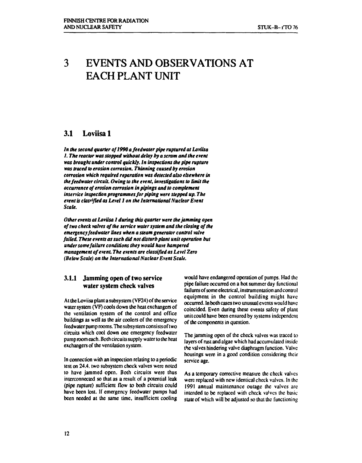# **3 EVENTS AND OBSERVATIONS AT EACH PLANT UNIT**

### **3.1 Loviisa 1**

In the second quarter of 1990 a feedwater pipe ruptured at Loviisa *I. The reactor was stopped without delay by a scram and the event was brought under control quickly. In inspections the pipe rupture was traced to erosion corrosion. Thinning caused by erosion corrosion which required reparation was detected also elsewhere in thefeedwater circuit. Owing to the event, investigations to limit the occurrence of erosion corrosion in pipings and to complement inservice inspection programmes for piping were stepped up. The event is classified as Level 1 on the International Nuclear Event Scale.* 

*Other events at Loviisa 1 during this quarter were the jamming open of two check valves of the service water system and the closing of the emergency feedwater lines when a steam generator control valve failed. These events as such did not disturb plant unit operation but under some failure conditions they would have hampered management of event. The events are classified as Level Zero (Below Scale) on the International Nuclear Event Scale.* 

#### **3.1.1 Jamming open of two service water system check valves**

**At the Loviisa plant a subsystem (VF24) of the service water system (VF) cools down the heat exchangers of the ventilation system of the control and office buildings as well as the air coolers of the emergency feedwater pump rooms. The subsystem consistsof two circuits which cool down one emergency feedwater pump room each. Both circuits supply water to the heat exchangers of the ventilation system.** 

**In connection with an inspection relating to a periodic test on 24.4. two subsystem check valves were noted to have jammed open. Both circuits were thus interconnected so that as a result of a potential leak (pipe rupture) sufficient flow to both circuits could have been lost. If emergency feedwater pumps had been needed at the same time, insufficient cooling** 

**would have endangered operation of pumps. Had the pipe failure occurred on a hot summer day functional failures of some electrical, instrumentation and control equipment in the control building might have occurred. In both cases two unusual events would have coincided. Even during these events safety of plant unit could have been ensured by systems independent of the components in question.** 

**The jamming open of the check valves was traced to layers of rust and algae which had accumulated inside the valves hindering valve diaphragm function. Valve housings were in a good condition considering their service age.** 

**As a temporary corrective measure the check valves were replaced with new identical check valves. In the 1991 annual maintenance outage the valves arc intended to be replaced with check va'ves the basic state of which will be adjusted so that the functioning**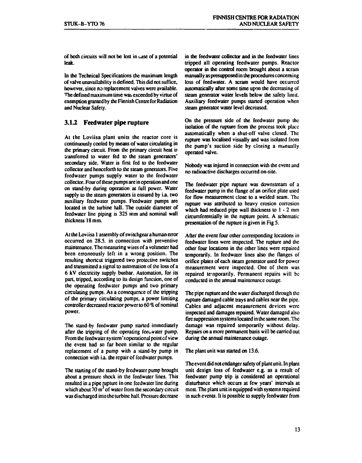of both circuits will not be lost in case of a potential leak.

In the Technical Specifications the maximum length of valve unavailability is defined. This did not suffice, however, since no replacement valves were available. The defined maximum time was exceeded by virtue of exemption granted by the Finnish Centre for Radiation and Nuclear Safety.

#### **3.1.2 Feedwater pipe rupture**

At the Loviisa plant units the reactor core is continuously cooled by means of water circulating in the primary circuit. From the primary circuit heat is transferred to water fed to the steam generators' secondary side. Water is first fed to the feedwater collector and henceforth to the steam generators. Five feedwater pumps supply water to the feedwater collector. Four of these pumps are in operation and one on stand-by during operation at full power. Water supply to the steam generators is ensured by i.a. two auxiliary feedwater pumps. Feedwater pumps are located in the turbine hall. The outside diameter of feedwater line piping is 325 mm and nominal wall thickness 18 mm.

At the Loviisa 1 assembly of switchgear a human error occurred on 28.5. in connection with preventive maintenance. The measuring wires of a voltmeter had been erroneously left in a wrong position. The resulting shortcut triggered two protective switches and transmitted a signal to automation of the loss of a 6 kV electricity supply busbar. Automation, for its part, tripped, according to its design function, one of the operating feedwater pumps and two primary circulating pumps. As a consequence of the tripping of the primary circulating pumps, a power limiting controller decreased reactor power to 60 % of nominal power.

The stand-by feedwater pump started immediately after the tripping of the operating feeuwater pump. From the feedwater sy stem' s operational point of view the event had so far been similar to the regular replacement of a pump with a stand-by pump in connection with i.a. the repair of feedwater pumps.

The starting of the stand-by fccdwater pump brought about a pressure shock in the feedwater lines. This resulted in a pipe rupture in one fcedwater line during which about 70  $m<sup>3</sup>$  of water from the secondary circuit was discharged into the turbine hall. Pressure decrease in the feedwater collector and in the feedwater lines tripped all operating fecdwater pumps. Reactor operator in the control rocm brought about a scram manually as presupposed in the procedures concerning loss of feedwater. A scram would have occurred automatically after some time upon the decreasing of steam generator water levels below the safety limit. Auxiliary feedwater pumps started operation when steam generator water level decreased.

On the pressure side of the feedwater pump the isolation of the rupture from the process took place automatically when a shut-off valve closed. The rupture was localised visually and was isolated from the pump's suction side by closing a manually operated valve.

Nobody was injured in connection with the event and no radioactive discharges occurred on-site.

The feedwater pipe rupture was downstream of a feedwater pump in the flange of an orifice plate used for flow measurement close to a welded seam. The rupture was attributed to heavy erosion corrosion which had reduced pipe wall thickness to  $1 - 2$  mm circumferentially in the rupture point. A schematic presentation of the rupture is given in Fig 5.

After the event four other corresponding locations in feedwater lines were inspected. The rupture and the other four locations in the other lines were repaired temporarily. In feedwater lines also the flanges of orifice plates of each steam generator used for power measurement were inspected. One of them was repaired temporarily. Permanent repairs will be conducted in the annual maintenance outage.

The pipe rupture and the water discharged through the rupture damaged cable trays and cables near the pipe. Cables and adjacent measurement devices were inspected and damages repaired. Water damaged also fire suppression systems located in the same room. The damage was repaired temporarily without delay. Repairs on a more permanent basis will be carried out during the annual maintenance outage.

The plant unit was started on 13.6.

The event did not endanger safety of plant unit. In plant unit design loss of feedwater e.g. as a result of feedwater pump trip is considered an operational disturbance which occurs at few years' intervals at most. The plant unit is equipped with systems required in such events. It is possible to supply feedwater from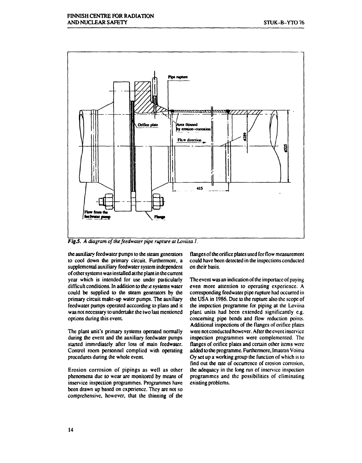

*Fig.5. A diagram of the feedwater pipe rupture at Loviisa 1.* 

the auxiliary feedwater pumps to the steam generators to cool down the primary circuit. Furthermore, a supplemental auxiliary feedwater system independent of other systems was installed at the plant in the current year which is intended for use under particularly difficult conditions. In addition to the e systems water could be supplied to the steam generators by the primary circuit make-up water pumps. The auxiliary feedwater pumps operated acccording to plans and it was not necessary to undertake the two last mentioned options during this event

The plant unit's primary systems operated normally during the event and the auxiliary feedwater pumps started immediately after loss of main feedwatcr. Control room personnel complied with operating procedures during the whole event.

Erosion corrosion of pipings as well as other phenomena due to wear are monitored by means of inservice inspection programmes. Programmes have been drawn up based on experience. They are not so comprehensive, however, that the thinning of the flanges of the orifice plates used for flow measurement could have been detected in the inspections conducted on their basis.

The event was an indication of the importacc of paying even more attention to operating experience. A corresponding fecdwater pipe rupture had occurred in the USA in 1986. Due to the rupture also the scope of the inspection programme for piping at the Loviisa plant units had been extended significantly e.g. concerning pipe bends and flow reduction points. Additional inspections of the flanges of orifice plates were not conducted however. After the event inscrvice inspection programmes were complemented. The flanges of orifice plates and certain other items were added to the programme. Furthermore, Imatran Voima Oy set up a working group the function of which is to find out the rate of occurrence of erosion corrosion, the adequacy in the long run of inscrvicc inspection programmes and the possibilities of eliminating existing problems.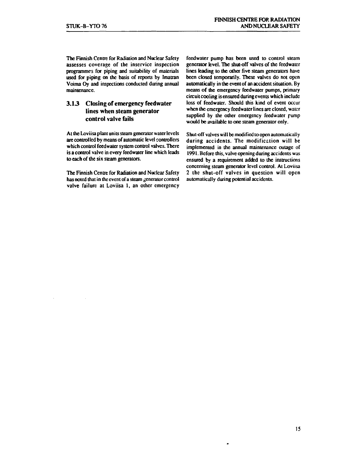**The Finnish Centre for Radiation and Nuclear Safety assesses coverage of the inservice inspection programmes for piping and suitability of materials used for piping on the basis of reports by Imatran Voima Oy and inspections conducted during annual maintenance.** 

#### **3.13 Closing of emergency feedwater lines when steam generator control valve fails**

**At the Loviisa plant units steam generator water levels are controlled by means of automatic level controllers which control feedwater system control valves. There is a control valve in every feedwater line which leads to each of the six steam generators.** 

**The Finnish Centre for Radiation and Nuclear Safety has noted that in the event of a steam generator control valve failure at Loviisa 1, an other emergency**  **feedwater pump has been used to control steam generator level. The shut-off valves of the feedwater lines leading to the other five steam generators have been closed temporarily. These valves do not open automatically in the event of an accident situation. By means of the emergency feedwater pumps, primary circuit cooling is ensured during events which include loss of feedwater. Should this kind of event occur when the emergency feedwater lines are closed, water supplied by the other emergency feedwater pump would be available to one steam generator only.** 

**Shut-off valves will be modified to open automatically during accidents. The modification will be implemented in the annual maintenance outage of 1991. Before this, valve opening during accidents was ensured by a requirement added to the instructions concerning steam generator level control. At Loviisa 2 the shut-off valves in question will open automatically during potential accidents.**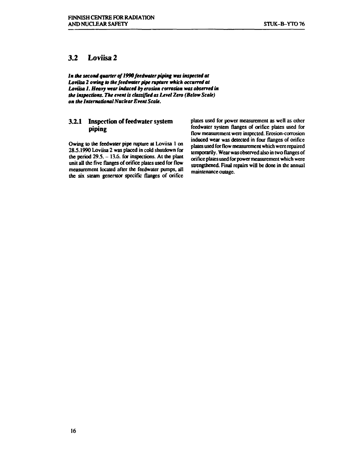### **3.2 Loviisa 2**

*In the second quarter of 1990 feedwater piping was inspected at Loviisa 2 owing to the feedwater pipe rupture which occurred at Loviisa 1. Heavy wear induced by erosion corrosion was observed in the inspections. The event is classified as Level Zero (Below Scale) on the International Nuclear Event Scale.* 

#### **3.2.1 Inspection of feedwater system piping**

**Owing to the feedwater pipe rupture at Loviisa 1 on 28.5.1990 Loviisa 2 was placed in cold shutdown for the period 29.5. - 13.6. for inspections. At the plant unit all the five flanges of orifice plates used for flow measurement located after the feedwater pumps, all the six steam generator specific flanges of orifice**  **plates used for power measurement as well as other feedwater system flanges of orifice plates used for flow measurement were inspected. Erosion-corrosion induced wear was detected in four flanges of orifice plates used for flow measurement which were repaired temporarily. Wear was observed also in two flanges of orificeplaiesused forpower measurement which were strengthened. Final repairs will be done in the annual maintenance outage.**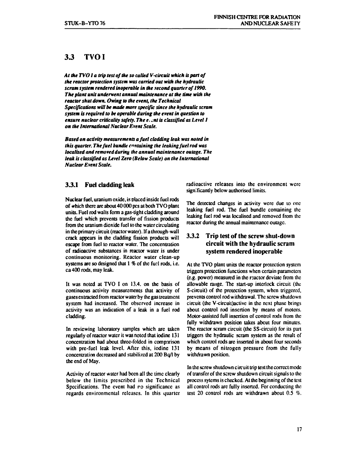### **33 TVOI**

*At the TVO la trip test of the so called V-circuit which is part of the reactor protection system was carried out with the hydraulic scram system rendered inoperable in the second quarter of 1990. The plant unit underwent annual maintenance at the time with the reactor shut down. Owing to the event, the Technical Specifications will be made more specific since the hydraulic scram system is required to be operable during the event in question to ensure nuclear criticality safety. The e.o.t is classified as Level 1 on the International Nuclear Event Scale.* 

*Based on activity measurements a fuel cladding leak was noted in this quarter. The fuel bundle containing the leaking fuel rod was localised and removed during the annual maintenance outage. The leak is classified as Level Zero (Below Scale) on the International Nuclear Event Scale.* 

#### **3.3.1 Fuel cladding leak**

Nuclear fuel, uranium oxide, is placed inside fuel rods of which there are about 40 000 pes at both TVO plant units. Fuel rod walls form a gas-tight cladding around the fuel which prevents transfer of fission products from the uranium dioxide fuel to the water circulating in the primary circuit (reactor water). If a through-wall crack appears in the cladding Fission products will escape from fuel to reactor water. The concentration of radioactive substances in reactor water is under continuous monitoring. Reactor water clean-up systems are so designed that 1 % of the fuel rods, i.e. ca 400 rods, may leak.

It was noted at TVO I on 13.4. on the basis of continuous activity measurements that activity of gases extracted from reactor water by the gas treatment system had increased. The observed increase in activity was an indication of a leak in a fuel rod cladding.

In reviewing laboratory samples which are taken regularly of reactor water it was noted that iodine 131 concentration had about three-folded in comparison with pre-fuel leak level. After this, iodine 131 concentration decreased and stabilized at 200 Bq/I by the end of May.

Activity of reactor water had been all the time clearly below the limits prescribed in the Technical Specifications. The event had ro significance as regards environmental releases. In this quarter radioactive releases into the environment were significantly below authorised limits.

The detected changes in activity were due to one leaking fuel rod. The fuel bundle containing the leaking fuel rod was localised and removed from the reactor during the annual maintenance outage.

#### **3.3.2 Trip test of the screw shut-down circuit with the hydraulic scram system rendered inoperable**

At the TVO plant units the reactor protection system triggers protection functions when certain parameters (e.g. power) measured in the reactor deviate from the allowable range. The start-up interlock circuit (the S-circuit) of the protection system, when triggered, prevents control rod withdrawal. The screw shutdown circuit (the V-circuit)active in the next phase brings about control rod insertion by means of motors. Motor-assisted full insertion of control rods from the fully withdrawn position takes about four minutes. The reactor scram circuit (the SS-circuit) for its part triggers the hydraulic scram system as the result of which control rods arc inserted in about four seconds by means of nitrogen pressure from the fully withdrawn position.

In the screw shutdown circuit trip test the correct mode of transfer of the screw shutdown circuit signals to the process sylcms is checked. At the beginning of the test all control rods are fully inserted. For conducting the test 20 control rods are withdrawn about 0.5 %.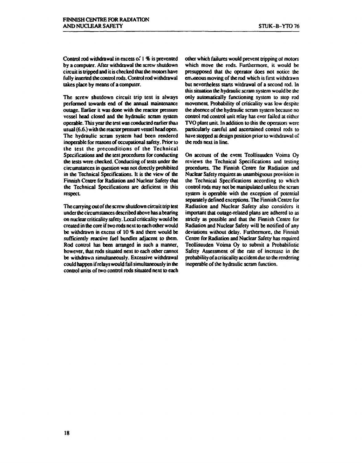**Control rod withdrawal in excess of 1 % is prevented by a computer. After withdrawal the screw shutdown circuit is tripped and it is checked that the motors have fully inserted the control rods. Control rod withdrawal takes place by means of a computer.** 

**The screw shutdown circuit trip test is always performed towards end of the annual maintenance outage. Earlier it was done with the reactor pressure vessel head closed and the hydraulic scram system operable. This year the test was conducted earlier than usual (6.6.) with the reactor pressure vessel head open. The hydraulic scram system had been rendered inoperable for reasons of occupational safety. Prior to the test the preconditions of the Technical Specifications and the test procedures for conducting the tests were checked. Conducting of tests under the circumstances in question was not directly prohibited in the Technical Specifications. It is the view of the Finnish Centre for Radiation and Nuclear Safety that the Technical Specifications are deficient in this respect** 

**The carrying out of the screw shutdown circuit trip test under the circumstances described above has a bearing on nuclear criticality safety. Local criticality would be created in the core if two rods next to each other would be withdrawn in excess of 10** *%* **and there would be sufficiently reactive fuel bundles adjacent to them. Rod control has been arranged in such a manner, however, that rods situated next to each other cannot be withdrawn simultaneously. Excessive withdrawal could happen if relays would fail simultaneously in the control units of two control rods situated next to each** 

**other which failures would prevent tripping ot motors which move the rods. Furthermore, it would be presupposed that the operator does not notice the erroneous moving of the rod which is first withdrawn but nevertheless starts witdrawal of a second rod. In this situation the hydraulic scram system would be the only automatically functioning system to stop rod**  movement. Probability of criticality was low despite **the absence of die hydraulic scram system because no control rod control unit relay has ever failed at either TVO plant unit In addition to this the operators were particularly careful and ascertained control rods to have stopped at design position prior to withdrawal of die rods next in line.** 

**On account of the event Teollisuuden Voima Oy reviews me Technical Specifications and testing procedures. The Finnish Centre for Radiation and Nuclear Safety requires an unambiguous provision in the Technical Specifications according to which**  control rods may not be manipulated unless the scram **system is operable with die exception of potential separately defined exceptions. The Finnish Centre for Radiation and Nuclear Safety also considers it important diat outage-related plans are adhered to as strictly as possible and diat the Finnish Centre for Radiation and Nuclear Safety will be notified of any deviations widiout delay. Furthermore, die Finnish Centre for Radiation and Nuclear Safety has required Teollisuuden Voima Oy to submit a Probabilistic Safety Assessment of die rate of increase in the probability of a criticality accident due to die rendering inoperable of the hydraulic scram function.**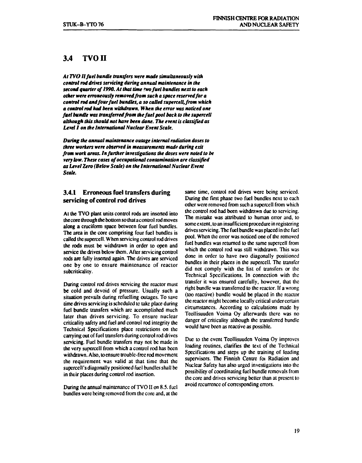### **3.4 TVOII**

*At TVOII fuel bundle transfers were made simultaneously with control rod drives servicing during annual maintenance in the second quarter of 1990. At that time two fuel bundles next to each other were erroneously removed from such a space reserved for a control rod and four fuel bundles, a so called supercell,from which a control rod had been withdrawn. When the error was noticed one fuel bundle was transferred from the fuel pool back to the supercell although this should not have been done. The event is classified as Level 1 on the International Nuclear Event Scale.* 

*During the annual maintenance outage internal radiation doses to three workers were observed in measurements made during exit from work areas. In further investigations the doses were noted to be very low. These cases of occupational contamination are classified as Level Zero (Below Scale) on the International Nuclear Event Scale.* 

#### **3.4.1 Erroneous fuel transfers during servicing of control rod drives**

At the TVO plant units control rods are inserted into the core through the bottom so that a control rod moves along a cruciform space between four fuel bundles. The area in the core comprising four fuel bundles is called the supercell. When servicing control rod drives the rods must be withdrawn in order to open and service the drives below them. After servicing control rods are fully inserted again. The drives are serviced one by one to ensure maintenance of reactor subcriticality.

During control rod drives servicing the reactor must be cold and devoid of pressure. Usually such a situation prevails during refuelling outages. To save time drives servicing is scheduled to take place during fuel bundle transfers which are accomplished much later than drives servicing. To ensure nuclear criticality safety and fuel and control rod integrity the Technical Specifications place restrictions on the carrying out of fuel transfers during control rod drives servicing. Fuel bundle transfers may not be made in the very superceli from which a control rod has been withdrawn. Also, to ensure trouble-free rod movement the requirement was valid at that time that the supcrcell's diagonally positioned fuel bundles shall be in their places during control rod insertion.

During the annual maintenance of TVO II on 8.5. fuel bundles were being removed from the core and, at the same time, control rod drives were being serviced. During the first phase two fuel bundles next to each other were removed from such a supcrccll from which the control rod had been withdrawn due to servicing. The mistake was attributed to human error and, to some extent, to an insufficient procedure in registering drives servicing. The fuel bundle was placed in the fuel pool. When the error was noticed one of the removed fuel bundles was returned to the same supcrccll from which the control rod was still withdrawn. This was done in order to have two diagonally positioned bundles in their places in the supercell. The transfer did not comply with the list of transfers or the Technical Specifications. In connection with the transfer it was ensured carefully, however, that the right bundle was transferred to the reactor. If a wrong (too reactive) bundle would be placed in the reactor the reactor might become locally critical under certain circumstances. According to calculations made by Teollisuuden Voima Oy afterwards there was no danger of criticality although the transferred bundle would have been as reactive as possible.

Due to the event Teollisuuden Voima Oy improves loading routines, clarifies the text of the Technical Specifications and steps up the training of loading supervisors. The Finnish Centre foi Radiation and Nuclear Safety has also urged investigations into the possibility of coordinating fuel bundle removals from the core and drives servicing better than at present to avoid recurrence of corresponding errors.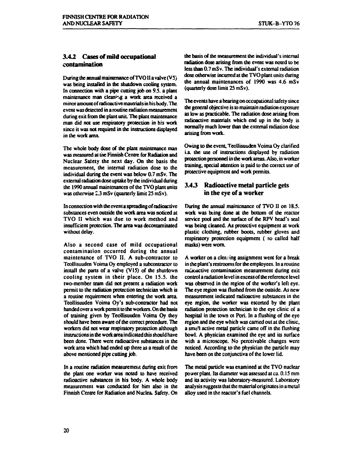#### **3.4.2 Cases of mild occupational contamination**

During the annual maintenance of TVOII a valve  $(V5)$ was being installed in the shutdown cooling system. In connection with a pipe cutting job on 9.5. a plant maintenance man cleaning a work area received a minor amount of radioactive materials in his body. The event was detected in a routine radiation measurement during exit from the plant unit. The plant maintenance man did not use respiratory protection in his work since it was not required in the instructions displayed in the work area.

The whole body dose of the plant maintenance man was measured at the Finnish Centre for Radiation and Nuclear Safety the next day. On the basis the measurement, the internal radiation dose to the individual during the event was below 0.7 mSv. The external radiation dose uptake by the individual during the 1990 annual maintenances of the TVO plant units was otherwise 2.3 mSv (quarterly limit 25 mSv).

In connection with the event a spreading of radioactive substances even outside the work area was noticed at TVO II which was due to work method and insufficient protection. The area was decontaminated without delay.

Also a second case of mild occupational contamination occurred during the annual maintenance of TVO II. A sub-contractor to Teollisuuden Voima Oy employed a subcontractor to install the parts of a valve (VIS) of the shutdown cooling system in their place. On 1S.S. the two-member team did not present a radiation work permit to the radiation protection technician which is a routine requirement when entering the work area. Teollisuuden Voima Oy's sub-contractor had not handed over a work permit to the workers. On the basis of training given by Teollisuuden Voima Oy they should have been aware of the correct procedure. The workers did not wear respiratory protection although instructions in the work area indicated this should have been done. There were radioactive substances in the work area which had ended up there as a result of the above mentioned pipe cutting job.

In a routine radiation measurement during exit from the plant one worker was noted to have received radioactive substances in his body. A whole body measurement was conducted for him also in the Finnish Centre for Radiation and Nuclea. Safety. On

the basis of the measurement the individual's internal radiation dose arising from the event was noted to be less than 0.7 mSv. The individual's external radiation dose otherwise incurred at die TVO plant units during the annual maintenances of 1990 was 4.6 mSv (quarterly dose limit 25 mSv).

The events have a bearing on occupational safety since the general objective is to maintain radiation exposure as low as practicable. The radiation dose arising from radioactive materials which end up in the body is normally much lower than the external radiation dose arising from work.

Owing to the event, Teollisuuden Voima Oy clarified i.a. the use of instructions displayed by radiation protection personnel in the work areas. Also, in worker training, special attention is paid to the correct use of protective equipment and work permits.

#### **3.4 J Radioactive metal particle gets in the eye of a worker**

During the annual maintenance of TVO II on 18.5. work was being done at the bottom of the reactor service pool and the surface of the RPV head's seal was being cleaned. As protective equipment at work plastic clothing, rubber boots, rubber gloves and respiratory protection equipment ( so called half masks) were worn.

A worker on a cleaning assignment went for a break in the plant's restrooms for the employees. In a routine radioactive contamination measurement during exit control a radiation level in excess of the reference level was observed in the region of the worker's left eye. The eye region was flushed from the outside. As new measurement indicated radioactive substances in the eye region, the worker was escorted by the plant radiation protection technician to the eye clinic of a hospital in the town oi Pori. In a flushing of the eye region and the eye which was carried out at the clinic, a sma'l active metal particle came off in the flushing bowl. A physician examined the eye and its surface with a microscope. No perceivable changes were noticed. According to the physician the particle may have been on the conjunctiva of the lower lid.

The metal particle was examined at the TVO nuclear power plant. Its diameter was assessed at ca. 0.15 mm and its activity was laboratory-measured. Laboratory analysis suggests that the material originates in a metal alloy used in the reactor's fuel channels.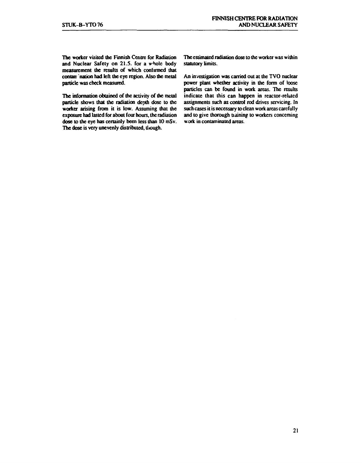**The worker visited the Finnish Centre for Radiation and Nuclear Safety on 21.5. for a whole body measurement the results of which confirmed that**  contam nation had left the eye region. Also the metal **particle was check measured.** 

**The information obtained of the activity of the metal particle shows that the radiation depth dose to the worker arising from it is low. Assuming that the exposure had lasted for about four hours, the radiation dose to the eye has certainly been less than 10 mSv.**  The dose is very unevenly distributed, though.

**The estimated radiation dose to the worker was within statutory limits.** 

**An investigation was carried out at the TVO nuclear power plant whether activity in the form of loose particles can be found in work areas. The results indicate that this can happen in reactor-related assignments such as control rod drives servicing. In such cases it is necessary to clean work areas carefully**  and to give thorough training to workers concerning **work in contaminated areas.**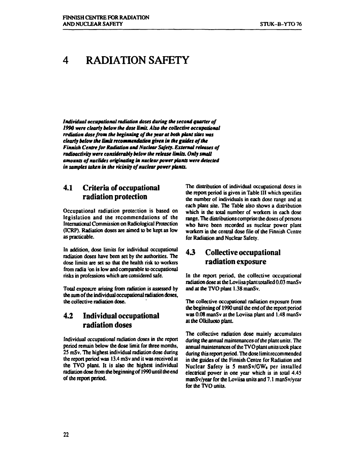# **4 RADIATION SAFETY**

*Individual occupational radiation doses during the second quarter of 1990 were clearly below the dose limit. Also the collective occupational radiation dose from the beginning of die year at both plant sites was clearly below the limit recommendation given in the guides of the Finnish Centre for Radiation and Nuclear Safety. External releases of radioactivity were considerably below the release limits. Only small amounts of nuclides originating in nuclear power plants were detected in samples taken in the vicinity of nuclear power plants.* 

### **4.1 Criteria of occupational radiation protection**

**Occupational radiation protection is based on legislation and the recommendations of the International Commission on Radiological Protection (ICRP). Radiation doses are aimed to be kept as low as practicable.** 

**In addition, dose limits for individual occupational radiation doses have been set by the authorities. The dose limits are set so that the health risk to workers from radia 'on is low and comparable to occupational risks in professions which are considered safe.** 

**Total exposure arising from radiation is assessed by the sum of the individual occupational radiation doses, the collective radiation dose.** 

# **4.2 Individual occupational radiation doses**

**Individual occupational radiation doses in the report period remain below the dose limit for three months, 25 mSv. The highest individual radiation dose during**  the report period was 13.4 mSv and it was received at **the TVO plant. It is also the highest individual radiation dose from the beginning of 1990 until the end of the report period.** 

**The distribution of individual occupational doses in the report period is given in Table III which specifies the number of individuals in each dose range and at each plant site. The Table also shows a distribution which is the total number of workers in each dose range. The distributions comprise the doses of persons who have been recorded as nuclear power plant workers in the central dose file of the Finnish Centre for Radiation and Nuclear Safety.** 

# **43 Collective occupational radiation exposure**

**In the report period, the collective occupational radiation dose at the Loviisa plant totalled 0.03 manS v and at the TVO plant 1.38 manSv.** 

**The collective occupational radiation exposure from the beginning of 1990 until the end of the report period was 0.08 manSv at the Loviisa plant and 1.48 manSv at the Olkiluoto plant.** 

**The collective radiation dose mainly accumulates during the annual maintenances of the plant units. The annual maintenances of the TVOplant units took place during this report period. The dose limit recommended in the guides of the Finnish Centre for Radiation and Nuclear Safety is 5 manSv/GWe per installed electrical power in one year which is in total 4.45 manSv/year for the Loviisa units and 7.1 manSv/year for the TVO units.**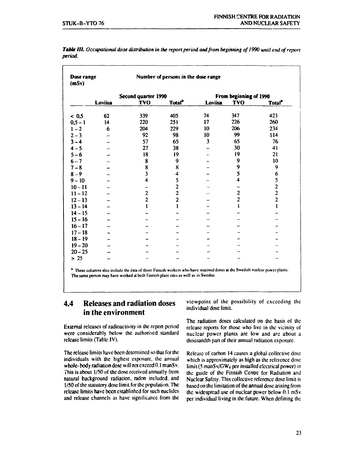| Dose range<br>(mSv) |                | Number of persons in the dose range |                    |                        |                |                           |  |
|---------------------|----------------|-------------------------------------|--------------------|------------------------|----------------|---------------------------|--|
|                     |                | Second quarter 1990                 |                    | From beginning of 1990 |                |                           |  |
|                     | <b>Loviisa</b> | <b>TVO</b>                          | Total <sup>2</sup> | <b>Loviisa</b>         | <b>TVO</b>     | <b>Total</b> <sup>2</sup> |  |
| < 0.5               | 62             | 339                                 | 405                | 74                     | 347            | 423                       |  |
| $0, 5 - 1$          | 14             | 220                                 | 251                | 17                     | 226            | 260                       |  |
| $1 - 2$             | 6              | 204                                 | 229                | 10                     | 206            | 234                       |  |
| $2 - 3$             |                | 92                                  | 98                 | 10                     | 99             | 114                       |  |
| $3 - 4$             |                | 57                                  | 65                 | 3                      | 65             | 76                        |  |
| $4 - 5$             |                | 27                                  | 38                 |                        | 30             | 41                        |  |
| $5 - 6$             |                | 18                                  | 19                 |                        | 19             | 21                        |  |
| $6 - 7$             |                | 8                                   | 9                  |                        | 9              | 10                        |  |
| $7 - 8$             |                | 8                                   | 8                  |                        | 9              | 9                         |  |
| $8 - 9$             |                | $\overline{\mathbf{3}}$             | 4                  |                        | 5              | $\boldsymbol{6}$          |  |
| $9 - 10$            |                | 4                                   | 5                  |                        | 4              | 5                         |  |
| $10 - 11$           |                |                                     | $\overline{c}$     |                        |                | $\overline{\mathbf{c}}$   |  |
| $11 - 12$           |                | $\overline{c}$                      | $\overline{c}$     |                        | $\overline{c}$ | $\overline{2}$            |  |
| $12 - 13$           |                | $\overline{c}$                      | $\overline{c}$     |                        | $\overline{2}$ | $\overline{c}$            |  |
| $13 - 14$           |                | 1                                   | $\mathbf{1}$       |                        | ı              |                           |  |
| $14 - 15$           |                |                                     |                    |                        |                |                           |  |
| $15 - 16$           |                |                                     |                    |                        |                |                           |  |
| $16 - 17$           |                |                                     |                    |                        |                |                           |  |
| $17 - 18$           |                |                                     |                    |                        |                |                           |  |
| $18 - 19$           |                |                                     |                    |                        |                |                           |  |
| $19 - 20$           |                |                                     |                    |                        |                |                           |  |
| $20 - 25$           |                |                                     |                    |                        |                |                           |  |
| $> 25$              |                |                                     |                    |                        |                |                           |  |

*Table III. Occupational dose distribution in the report period and from beginning of 1990 until end of report period.* 

**\* These columns also include the data of those Finnish workers who have received doses at the Swedish nuclear power plants. The same person may have worked at both Finnish plant sites as well as in Sweden.** 

# **4.4 Releases and radiation doses in the environment**

External releases of radioactivity in the report period were considerably below the authorised standard release limits (Table IV).

The release limits have been determined so that for the individuals with the highest exposure, the annual whole-body radiation dose will not exceed 0.1 manSv. This is about 1/50 of the dose received annually from natural background radiation, radon included, and 1/50 of the statutory dose limit for the population. The release limits have been established for such nuclides and release channels as have significance from the viewpoint of the possibility of exceeding the individual dose limit.

The radiation doses calculated on the basis of the release reports for those who live in the vicinity of nuclear power plants arc low and arc about a thousandth part of their annual radiation exposure.

Release of carbon 14 causes a global collective dose which is approximately as high as the reference dose limit (5 manSv/GW $<sub>c</sub>$  per installed electrical power) in</sub> the guide of the Finnish Centre for Radiation and Nuclear Safety. This collective reference dose limit is based on the limitation of the annual dose arising from the widespread use of nuclear power below 0.1 mSv per individual living in the future. When defining the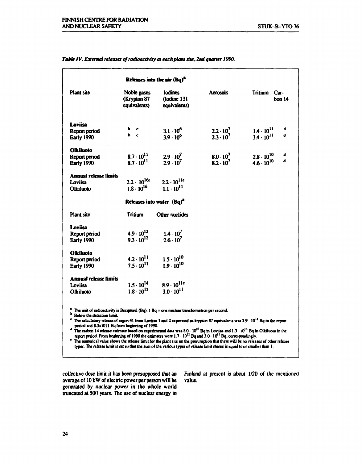|                              | Releases into the air (Bq) <sup>a</sup>                                                                                  |                                               |                    |                          |
|------------------------------|--------------------------------------------------------------------------------------------------------------------------|-----------------------------------------------|--------------------|--------------------------|
| <b>Plant</b> site            | Noble gases<br>(Krypton 87<br>equivalents)                                                                               | <b>Iodines</b><br>(Iodine 131<br>equivalents) | <b>Acrosols</b>    | Tritium Car-<br>bon $14$ |
| Loviisa                      |                                                                                                                          |                                               |                    |                          |
| Report period                | b c<br>$b \quad c$                                                                                                       | $3.1 \cdot 10^{6}$                            | $2.2 \cdot 10^7$   | d<br>$1.4 \cdot 10^{11}$ |
| <b>Early 1990</b>            |                                                                                                                          | $3.9 \cdot 10^{6}$                            | $2.3 \cdot 10^7$   | d<br>$3.4 \cdot 10^{11}$ |
| <b>Olkiluoto</b>             |                                                                                                                          |                                               |                    |                          |
| Report period                |                                                                                                                          | 8.7 $\cdot$ $10^{11}$ 2.9 $\cdot$ $10^{7}$    | $8.0 \cdot 10^{7}$ | $2.8 \cdot 10^{10}$<br>d |
| Early 1990                   | $8.7 \cdot 10^{11}$                                                                                                      | $2.9 \cdot 10^{7}$                            | $8.2 \cdot 10^{7}$ | đ<br>$4.6 \cdot 10^{10}$ |
| <b>Annual release limits</b> |                                                                                                                          |                                               |                    |                          |
| Loviisa                      |                                                                                                                          |                                               |                    |                          |
| Olkiluoto                    | 2.2 $\cdot$ 10 <sup>16e</sup> 2.2 $\cdot$ 10 <sup>11e</sup><br>1.8 $\cdot$ 10 <sup>16</sup> 1.1 $\cdot$ 10 <sup>11</sup> |                                               |                    |                          |
|                              | Releases into water (Bq) <sup>a</sup>                                                                                    |                                               |                    |                          |
| <b>Plant site</b>            | <b>Tritium</b>                                                                                                           | Other nuclides                                |                    |                          |
| Loviisa                      |                                                                                                                          |                                               |                    |                          |
| Report period                | $4.9 \cdot 10^{12}$                                                                                                      | $1.4 \cdot 10^{7}$                            |                    |                          |
| Early 1990                   | $9.3 \cdot 10^{12}$                                                                                                      | $2.6 \cdot 10^{7}$                            |                    |                          |
| Olkiluoto                    |                                                                                                                          |                                               |                    |                          |
| Report period                | $4.2 \cdot 10^{11}$                                                                                                      | $1.5 \cdot 10^{10}$                           |                    |                          |
| Early 1990                   | $7.5 \cdot 10^{11}$                                                                                                      | $1.9 \cdot 10^{10}$                           |                    |                          |
| <b>Annual release limits</b> |                                                                                                                          |                                               |                    |                          |
|                              |                                                                                                                          | $1.5 \cdot 10^{14}$ 8.9 $\cdot 10^{116}$      |                    |                          |
| Loviisa                      | $1.8 \cdot 10^{13}$                                                                                                      | $3.0 \cdot 10^{11}$                           |                    |                          |

#### *Table IV. External releases ofradioactivity at each plant site, 2nd quarter 1990.*

**report period. From beginning of 1990 the estimates were 1.7-10<sup>11</sup> Bq and 3.0- 10"Bq, correspondingly.** 

**\*** The numerical value shows the release limit for the plant site on the presumption that there will be no releases of other release **types. The release limit is set so that the sum of the various types of release limit shares is equal to or smaller than 1.** 

average of 10 kW of electric power per person will be generated by nuclear power in the whole world truncated at 500 years. The use of nuclear energy in

collective dose limit it has been presupposed that an Finland at present is about  $1/20$  of the mentioned average of  $10 \text{ kW}$  of electric power per person will be value.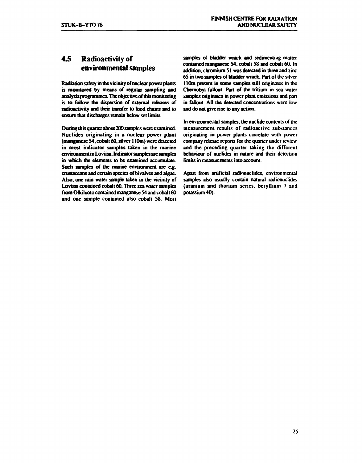# **4.5 Radioactivity of environmental samples**

**Radiation safety in the vicinity of nuclear power plants is monitored by means of regular sampling and analysis programmes. The objective of this monitoring is to follow the dispersion of external releases of radioactivity and their transfer to food chains and to ensure that discharges remain below set limits.** 

**During this quarter about 200 samples were examined. Nuclides originating in a nuclear power plant (manganese 54, cobalt 60, silver 110m) were detected in most indicator samples taken in the marine environment in Loviisa. Indicator samples are samples in which the elements to be examined accumulate. Such samples of the marine environment are e.g. crustaceans and certain species of bivalves and algae. Also, one rain water sample taken in the vicinity of Loviisa contained cobalt 60. Three sea water samples from Olkiluoto contained manganese 54 and cobalt 60 and one sample contained also cobalt 58. Most** 

samples of bladder wrack and sedimenting matter **contained manganese 54, cobalt 58 and cobalt 60. In addition, chromium 51 was delected in three and zinc 65 in two samples of bladder wrack. Part of the silver 110m present in some samples still originates in the Chernobyl fallout. Pan of the tritium in sea water**  samples originates in power plant emissions and part **in fallout AH die detected concentrations were low and do not give rise to any action.** 

**In environmental samples, the nuclide contents of the measurement results of radioactive substances originating in puwer plants correlate with power company release reports for the quarter under review and the preceding quarter taking the different behaviour of nuclides in nature and their detection limits in measurements into account.** 

**Apan from artificial radionuclides, environmental samples also usually contain natural radionuclides (uranium and thorium scries, beryllium 7 and potassium 40).**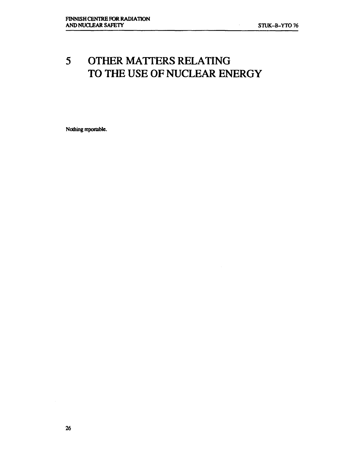# **5 OTHER MATTERS RELATING TO THE USE OF NUCLEAR ENERGY**

**Nothing reportable.**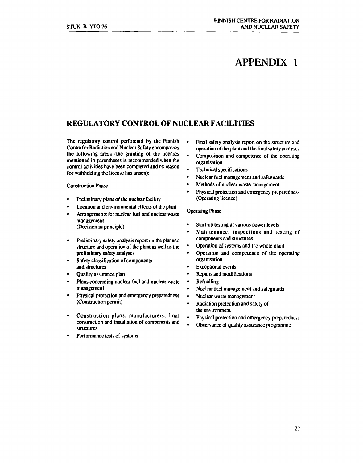# **APPENDIX 1**

# **REGULATORY CONTROL OF NUCLEAR FACILITIES**

**The regulatory control perforemd by the Finnish Centre for Radiation and Nuclear Safety encompasses the following areas (the granting of the licenses mentioned in parentheses is recommended when the control activities have been completed and ns reason for withholding the license has arisen):** 

#### **Construction Phase**

- **Preliminary plans of the nuclear facility**
- **Location and environmental effects of the plant**
- **Arrangements for nuclear fuel and nuclear waste management (Decision in principle)**
- **Preliminary safety analysis report on the planned structure and operation of the plant as well as the preliminary safety analyses**
- **Safety classification of components and structures**
- **Quality assurance plan**
- **Plans concerning nuclear fuel and nuclear waste management**
- **Physical protection and emergency preparedness (Construction permit)**
- **Construction plans, manufacturers, final construction and installation of components and structures**
- **Performance tests of systems**
- Final safety analysis report on the structure and **operation of the plant and the final safety analyses**
- **Composition and competence of the operating organisation**
- **Technical specifications**
- **Nuclear fuel management and safeguards**
- **Methods of nuclear waste management**
- **Physical protection and emergency preparedness (Operating licence)**

#### **Operating Phase**

- **Start-up testing at various power levels**
- **Maintenance, inspections and testing of components and structures**
- **Operation of systems and the whole plant**
- **Operation and competence of the operating organisation**
- **Exceptional events**
- **Repairs and modifications**
- **Refuelling**
- **Nuclear fuel management and safeguards**
- **Nuclear waste management**
- **Radiation protection and safety of the environment**
- **Physical protection and emergency preparedness**
- **Observance of quality assurance programme**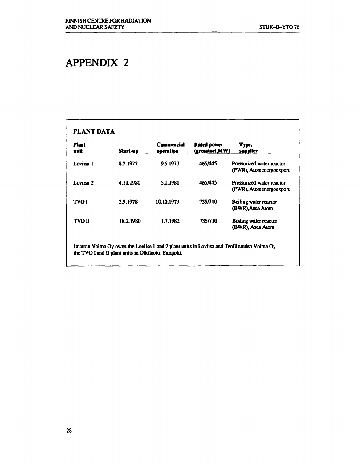# **APPENDIX 2**

| <b>Plant</b><br>unit | Start-up  | Commercial<br>operation | Rated power<br>(gross/net,MW) | Type,<br><b>Supplier</b>                                    |
|----------------------|-----------|-------------------------|-------------------------------|-------------------------------------------------------------|
| Loviisa 1            | 8.2.1977  | 9.5.1977                | 465/445                       | <b>Pressurized water reactor</b><br>(PWR), Atomenergoexport |
| Loviisa 2            | 4.11.1980 | 5.1.1981                | 465/445                       | <b>Pressurized water reactor</b><br>(PWR), Atomenergoexport |
| <b>TVOI</b>          | 2.9.1978  | 10.10.1979              | 735/710                       | <b>Boiling water reactor</b><br>(BWR), Asea Atom            |
| <b>TVO II</b>        | 18.2.1980 | 1.7.1982                | 735/710                       | Boiling water reactor<br>(BWR), Asea Atom                   |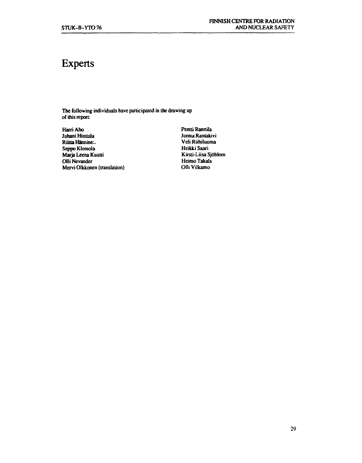# **Experts**

**The following individuals have participated in the drawing up of this report:** 

**Harri Aho** Pentti Rannila<br> *Juhani Hinttala* **Alexandria Andre Andre Andre Andre Andre Andre Andre Andre Andre Andre Andre Andre Andre Andre Andre Andre Andre Andre Andre Andre Andre Andre Andre Andre Andre Andre Andre** Riitta Hännine..<br> **Riitta Hännine..**<br> **Riikki Saari**<br> **Riikki Saari Seppo Klemola Marja Leena Kuutti** Kirsti-Liisa Sjöblom **Olli Nevander** Kirsti-Liisa Sjöblom **Olli Nevander Olli Nevander Heimo Takala Mervi Olkkonen (translation)** 

**Jorma Rantakivi<br>Veli Riihiluoma**